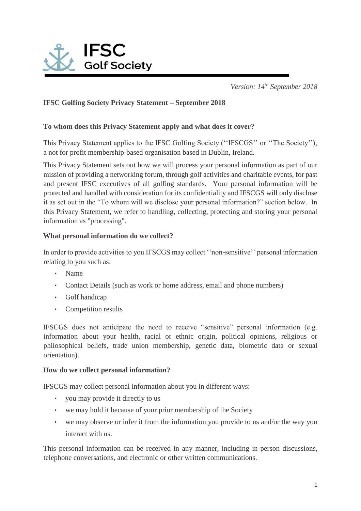

*Version: 14th September 2018* 

# **IFSC Golfing Society Privacy Statement – September 2018**

## **To whom does this Privacy Statement apply and what does it cover?**

This Privacy Statement applies to the IFSC Golfing Society (''IFSCGS'' or ''The Society''), a not for profit membership-based organisation based in Dublin, Ireland.

This Privacy Statement sets out how we will process your personal information as part of our mission of providing a networking forum, through golf activities and charitable events, for past and present IFSC executives of all golfing standards. Your personal information will be protected and handled with consideration for its confidentiality and IFSCGS will only disclose it as set out in the "To whom will we disclose your personal information?" section below. In this Privacy Statement, we refer to handling, collecting, protecting and storing your personal information as "processing".

## **What personal information do we collect?**

In order to provide activities to you IFSCGS may collect ''non-sensitive'' personal information relating to you such as:

- Name
- Contact Details (such as work or home address, email and phone numbers)
- Golf handicap
- Competition results

IFSCGS does not anticipate the need to receive "sensitive" personal information (e.g. information about your health, racial or ethnic origin, political opinions, religious or philosophical beliefs, trade union membership, genetic data, biometric data or sexual orientation).

#### **How do we collect personal information?**

IFSCGS may collect personal information about you in different ways:

- you may provide it directly to us
- we may hold it because of your prior membership of the Society
- we may observe or infer it from the information you provide to us and/or the way you interact with us.

This personal information can be received in any manner, including in-person discussions, telephone conversations, and electronic or other written communications.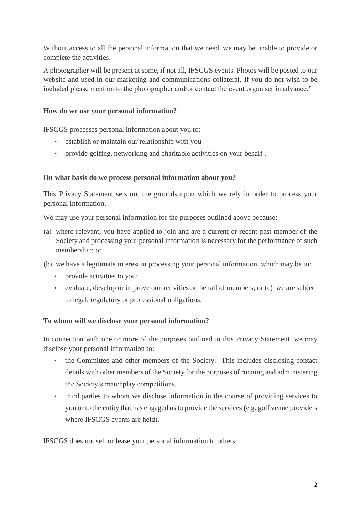Without access to all the personal information that we need, we may be unable to provide or complete the activities.

A photographer will be present at some, if not all, IFSCGS events. Photos will be posted to our website and used in our marketing and communications collateral. If you do not wish to be included please mention to the photographer and/or contact the event organiser in advance."

## **How do we use your personal information?**

IFSCGS processes personal information about you to:

- establish or maintain our relationship with you
- provide golfing, networking and charitable activities on your behalf .

# **On what basis do we process personal information about you?**

This Privacy Statement sets out the grounds upon which we rely in order to process your personal information.

We may use your personal information for the purposes outlined above because:

- (a) where relevant, you have applied to join and are a current or recent past member of the Society and processing your personal information is necessary for the performance of such membership; or
- (b) we have a legitimate interest in processing your personal information, which may be to:
	- provide activities to you;
	- evaluate, develop or improve our activities on behalf of members; or (c) we are subject to legal, regulatory or professional obligations.

# **To whom will we disclose your personal information?**

In connection with one or more of the purposes outlined in this Privacy Statement, we may disclose your personal information to:

- the Committee and other members of the Society. This includes disclosing contact details with other members of the Society for the purposes of running and administering the Society's matchplay competitions.
- third parties to whom we disclose information in the course of providing services to you or to the entity that has engaged us to provide the services (e.g. golf venue providers where IFSCGS events are held).

IFSCGS does not sell or lease your personal information to others.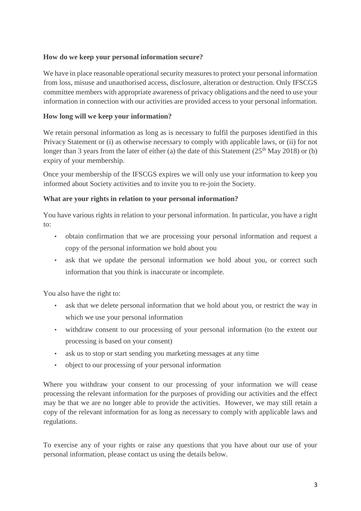# **How do we keep your personal information secure?**

We have in place reasonable operational security measures to protect your personal information from loss, misuse and unauthorised access, disclosure, alteration or destruction. Only IFSCGS committee members with appropriate awareness of privacy obligations and the need to use your information in connection with our activities are provided access to your personal information.

# **How long will we keep your information?**

We retain personal information as long as is necessary to fulfil the purposes identified in this Privacy Statement or (i) as otherwise necessary to comply with applicable laws, or (ii) for not longer than 3 years from the later of either (a) the date of this Statement ( $25<sup>th</sup>$  May 2018) or (b) expiry of your membership.

Once your membership of the IFSCGS expires we will only use your information to keep you informed about Society activities and to invite you to re-join the Society.

# **What are your rights in relation to your personal information?**

You have various rights in relation to your personal information. In particular, you have a right to:

- obtain confirmation that we are processing your personal information and request a copy of the personal information we hold about you
- ask that we update the personal information we hold about you, or correct such information that you think is inaccurate or incomplete.

You also have the right to:

- ask that we delete personal information that we hold about you, or restrict the way in which we use your personal information
- withdraw consent to our processing of your personal information (to the extent our processing is based on your consent)
- ask us to stop or start sending you marketing messages at any time
- object to our processing of your personal information

Where you withdraw your consent to our processing of your information we will cease processing the relevant information for the purposes of providing our activities and the effect may be that we are no longer able to provide the activities. However, we may still retain a copy of the relevant information for as long as necessary to comply with applicable laws and regulations.

To exercise any of your rights or raise any questions that you have about our use of your personal information, please contact us using the details below.